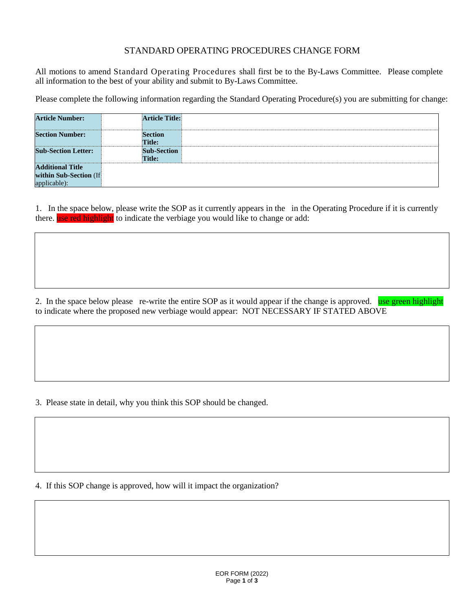## STANDARD OPERATING PROCEDURES CHANGE FORM

All motions to amend Standard Operating Procedures shall first be to the By-Laws Committee. Please complete all information to the best of your ability and submit to By-Laws Committee.

Please complete the following information regarding the Standard Operating Procedure(s) you are submitting for change:

| <b>Article Number:</b>                                            | <b>Article Title:</b>        |  |
|-------------------------------------------------------------------|------------------------------|--|
| <b>Section Number:</b>                                            | <b>Section</b><br>Title:     |  |
| <b>Sub-Section Letter:</b>                                        | <b>Sub-Section</b><br>Title: |  |
| <b>Additional Title</b><br>within Sub-Section (If<br>applicable): |                              |  |

1. In the space below, please write the SOP as it currently appears in the in the Operating Procedure if it is currently there. use red highlight to indicate the verbiage you would like to change or add:

2. In the space below please re-write the entire SOP as it would appear if the change is approved. use green highlight to indicate where the proposed new verbiage would appear: NOT NECESSARY IF STATED ABOVE

3. Please state in detail, why you think this SOP should be changed.

4. If this SOP change is approved, how will it impact the organization?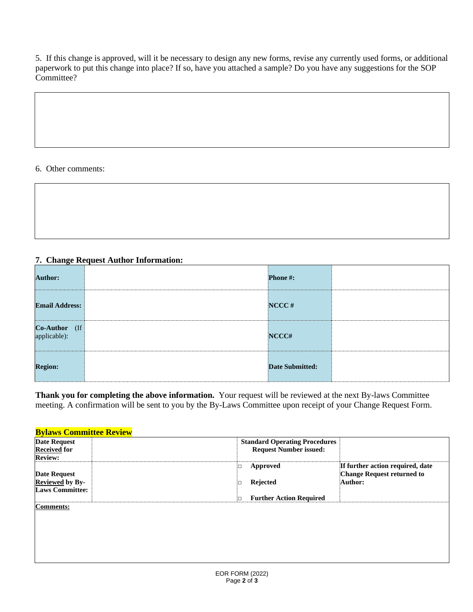5. If this change is approved, will it be necessary to design any new forms, revise any currently used forms, or additional paperwork to put this change into place? If so, have you attached a sample? Do you have any suggestions for the SOP Committee?

## 6. Other comments:

## **7. Change Request Author Information:**

| <b>Author:</b>                    | Phone #:               |  |
|-----------------------------------|------------------------|--|
| <b>Email Address:</b>             | NCCC#                  |  |
| <b>Co-Author</b> (If applicable): | NCCC#                  |  |
| <b>Region:</b>                    | <b>Date Submitted:</b> |  |

**Thank you for completing the above information.** Your request will be reviewed at the next By-laws Committee meeting. A confirmation will be sent to you by the By-Laws Committee upon receipt of your Change Request Form.

|  |  | <b>Bylaws Committee Review</b> |
|--|--|--------------------------------|
|  |  |                                |

| <b>Date Request</b>    |          | <b>Standard Operating Procedures</b> |
|------------------------|----------|--------------------------------------|
| <b>Received</b> for    |          | <b>Request Number issued:</b>        |
| <b>Review:</b>         |          |                                      |
|                        | Approved | If further action required, date     |
| <b>Date Request</b>    |          | <b>Change Request returned to</b>    |
| Reviewed by By-        | Rejected | Author:                              |
| <b>Laws Committee:</b> |          |                                      |
|                        |          | <b>Further Action Required</b>       |
| <b>Comments:</b>       |          |                                      |
|                        |          |                                      |
|                        |          |                                      |
|                        |          |                                      |
|                        |          |                                      |
|                        |          |                                      |
|                        |          |                                      |
|                        |          |                                      |